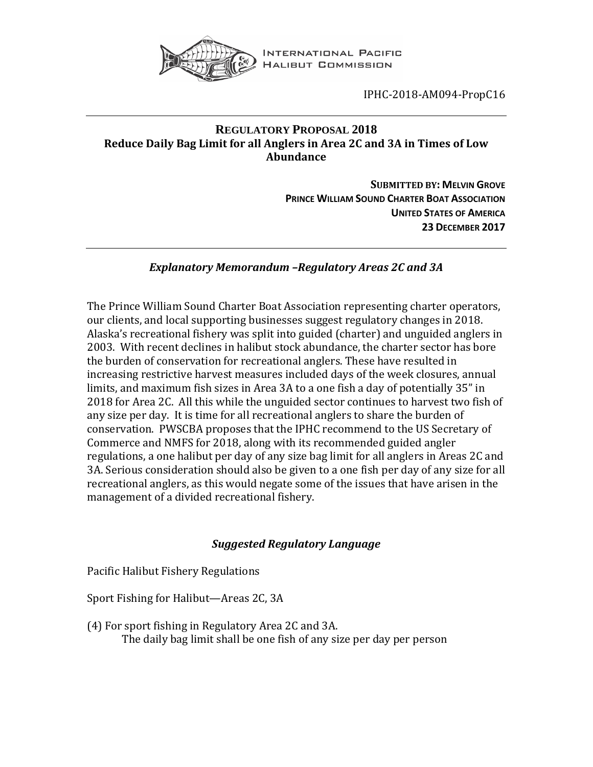

INTERNATIONAL PACIFIC **HALIBUT COMMISSION** 

IPHC-2018-AM094-PropC16

## **REGULATORY PROPOSAL 2018 Reduce Daily Bag Limit for all Anglers in Area 2C and 3A in Times of Low Abundance**

**SUBMITTED BY: MELVIN GROVE PRINCE WILLIAM SOUND CHARTER BOAT ASSOCIATION UNITED STATES OF AMERICA 23 DECEMBER 2017**

## *Explanatory Memorandum –Regulatory Areas 2C and 3A*

The Prince William Sound Charter Boat Association representing charter operators, our clients, and local supporting businesses suggest regulatory changes in 2018. Alaska's recreational fishery was split into guided (charter) and unguided anglers in 2003. With recent declines in halibut stock abundance, the charter sector has bore the burden of conservation for recreational anglers. These have resulted in increasing restrictive harvest measures included days of the week closures, annual limits, and maximum fish sizes in Area 3A to a one fish a day of potentially 35" in 2018 for Area 2C. All this while the unguided sector continues to harvest two fish of any size per day. It is time for all recreational anglers to share the burden of conservation. PWSCBA proposes that the IPHC recommend to the US Secretary of Commerce and NMFS for 2018, along with its recommended guided angler regulations, a one halibut per day of any size bag limit for all anglers in Areas 2C and 3A. Serious consideration should also be given to a one fish per day of any size for all recreational anglers, as this would negate some of the issues that have arisen in the management of a divided recreational fishery.

## *Suggested Regulatory Language*

Pacific Halibut Fishery Regulations

Sport Fishing for Halibut—Areas 2C, 3A

(4) For sport fishing in Regulatory Area 2C and 3A. The daily bag limit shall be one fish of any size per day per person